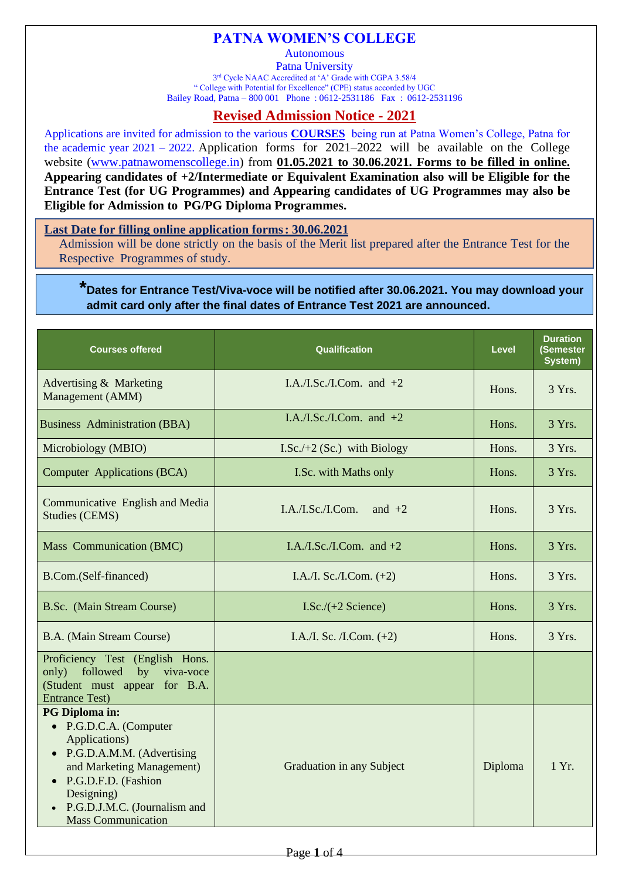## **PATNA WOMEN'S COLLEGE**

**Autonomous** 

Patna University 3<sup>rd</sup> Cycle NAAC Accredited at 'A' Grade with CGPA 3.58/4 " College with Potential for Excellence" (CPE) status accorded by UGC Bailey Road, Patna – 800 001 Phone : 0612-2531186 Fax : 0612-2531196

## **Revised Admission Notice - 2021**

Applications are invited for admission to the various **COURSES** being run at Patna Women's College, Patna for the academic year  $2021 - 2022$ . Application forms for  $2021-2022$  will be available on the College website [\(www.patnawomenscollege.in\)](http://www.patnawomenscollege.in/) from **01.05.2021 to 30.06.2021. Forms to be filled in online. Appearing candidates of +2/Intermediate or Equivalent Examination also will be Eligible for the Entrance Test (for UG Programmes) and Appearing candidates of UG Programmes may also be Eligible for Admission to PG/PG Diploma Programmes.**

**Last Date for filling online application forms: 30.06.2021**

Admission will be done strictly on the basis of the Merit list prepared after the Entrance Test for the Respective Programmes of study.

**\*Dates for Entrance Test/Viva-voce will be notified after 30.06.2021. You may download your admit card only after the final dates of Entrance Test 2021 are announced.**

| <b>Courses offered</b>                                                                                                                                                                                                      | <b>Qualification</b>           | Level           | <b>Duration</b><br>(Semester<br>System) |
|-----------------------------------------------------------------------------------------------------------------------------------------------------------------------------------------------------------------------------|--------------------------------|-----------------|-----------------------------------------|
| Advertising & Marketing<br>Management (AMM)                                                                                                                                                                                 | I.A./I.Sc./I.Com. and $+2$     | Hons.           | 3 Yrs.                                  |
| <b>Business</b> Administration (BBA)                                                                                                                                                                                        | I.A./I.Sc./I.Com. and $+2$     | Hons.           | 3 Yrs.                                  |
| Microbiology (MBIO)                                                                                                                                                                                                         | I.Sc. $/+2$ (Sc.) with Biology | Hons.           | 3 Yrs.                                  |
| Computer Applications (BCA)                                                                                                                                                                                                 | I.Sc. with Maths only          | Hons.           | 3 Yrs.                                  |
| Communicative English and Media<br><b>Studies (CEMS)</b>                                                                                                                                                                    | I.A./I.Sc./I.Com.<br>and $+2$  | Hons.           | 3 Yrs.                                  |
| Mass Communication (BMC)                                                                                                                                                                                                    | I.A./I.Sc./I.Com. and $+2$     | 3 Yrs.<br>Hons. |                                         |
| B.Com.(Self-financed)                                                                                                                                                                                                       | I.A./I. Sc./I.Com. $(+2)$      | Hons.           | 3 Yrs.                                  |
| B.Sc. (Main Stream Course)                                                                                                                                                                                                  | I.Sc./ $(+2$ Science)          | Hons.           | 3 Yrs.                                  |
| B.A. (Main Stream Course)                                                                                                                                                                                                   | I.A./I. Sc. /I.Com. $(+2)$     | Hons.           | 3 Yrs.                                  |
| Proficiency Test (English Hons.<br>only) followed<br>by viva-voce<br>(Student must appear for B.A.<br><b>Entrance Test)</b>                                                                                                 |                                |                 |                                         |
| PG Diploma in:<br>• P.G.D.C.A. (Computer<br>Applications)<br>• P.G.D.A.M.M. (Advertising<br>and Marketing Management)<br>• P.G.D.F.D. (Fashion<br>Designing)<br>• P.G.D.J.M.C. (Journalism and<br><b>Mass Communication</b> | Graduation in any Subject      | Diploma         | 1 Yr.                                   |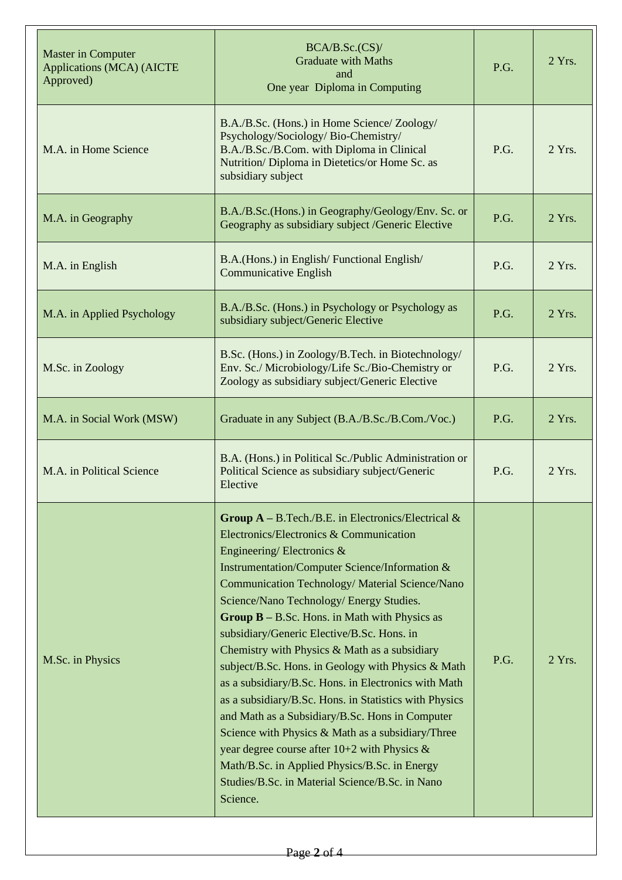| <b>Master in Computer</b><br><b>Applications (MCA) (AICTE</b><br>Approved)                                                                                                                                                                                                                                                                                                                                                                                                                                                                                                                                                                                                                                                                                                                                                                                                                                                     | BCA/B.Sc.(CS)<br><b>Graduate with Maths</b><br>and<br>One year Diploma in Computing                                                                                                                      |      | 2 Yrs.   |
|--------------------------------------------------------------------------------------------------------------------------------------------------------------------------------------------------------------------------------------------------------------------------------------------------------------------------------------------------------------------------------------------------------------------------------------------------------------------------------------------------------------------------------------------------------------------------------------------------------------------------------------------------------------------------------------------------------------------------------------------------------------------------------------------------------------------------------------------------------------------------------------------------------------------------------|----------------------------------------------------------------------------------------------------------------------------------------------------------------------------------------------------------|------|----------|
| M.A. in Home Science                                                                                                                                                                                                                                                                                                                                                                                                                                                                                                                                                                                                                                                                                                                                                                                                                                                                                                           | B.A./B.Sc. (Hons.) in Home Science/ Zoology/<br>Psychology/Sociology/Bio-Chemistry/<br>B.A./B.Sc./B.Com. with Diploma in Clinical<br>Nutrition/Diploma in Dietetics/or Home Sc. as<br>subsidiary subject | P.G. | $2$ Yrs. |
| M.A. in Geography                                                                                                                                                                                                                                                                                                                                                                                                                                                                                                                                                                                                                                                                                                                                                                                                                                                                                                              | B.A./B.Sc.(Hons.) in Geography/Geology/Env. Sc. or<br>Geography as subsidiary subject /Generic Elective                                                                                                  |      | $2$ Yrs. |
| M.A. in English                                                                                                                                                                                                                                                                                                                                                                                                                                                                                                                                                                                                                                                                                                                                                                                                                                                                                                                | B.A. (Hons.) in English/Functional English/<br><b>Communicative English</b>                                                                                                                              | P.G. | 2 Yrs.   |
| M.A. in Applied Psychology                                                                                                                                                                                                                                                                                                                                                                                                                                                                                                                                                                                                                                                                                                                                                                                                                                                                                                     | B.A./B.Sc. (Hons.) in Psychology or Psychology as<br>subsidiary subject/Generic Elective                                                                                                                 |      | $2$ Yrs. |
| B.Sc. (Hons.) in Zoology/B.Tech. in Biotechnology/<br>Env. Sc./ Microbiology/Life Sc./Bio-Chemistry or<br>M.Sc. in Zoology<br>Zoology as subsidiary subject/Generic Elective                                                                                                                                                                                                                                                                                                                                                                                                                                                                                                                                                                                                                                                                                                                                                   |                                                                                                                                                                                                          | P.G. | 2 Yrs.   |
| M.A. in Social Work (MSW)                                                                                                                                                                                                                                                                                                                                                                                                                                                                                                                                                                                                                                                                                                                                                                                                                                                                                                      | Graduate in any Subject (B.A./B.Sc./B.Com./Voc.)                                                                                                                                                         |      | $2$ Yrs. |
| M.A. in Political Science                                                                                                                                                                                                                                                                                                                                                                                                                                                                                                                                                                                                                                                                                                                                                                                                                                                                                                      | B.A. (Hons.) in Political Sc./Public Administration or<br>Political Science as subsidiary subject/Generic<br>Elective                                                                                    |      | 2 Yrs.   |
| <b>Group A</b> – B. Tech./B.E. in Electronics/Electrical $\&$<br>Electronics/Electronics & Communication<br>Engineering/Electronics &<br>Instrumentation/Computer Science/Information &<br>Communication Technology/ Material Science/Nano<br>Science/Nano Technology/ Energy Studies.<br><b>Group B</b> $-$ B.Sc. Hons. in Math with Physics as<br>subsidiary/Generic Elective/B.Sc. Hons. in<br>Chemistry with Physics $& \text{Math}$ as a subsidiary<br>M.Sc. in Physics<br>subject/B.Sc. Hons. in Geology with Physics & Math<br>as a subsidiary/B.Sc. Hons. in Electronics with Math<br>as a subsidiary/B.Sc. Hons. in Statistics with Physics<br>and Math as a Subsidiary/B.Sc. Hons in Computer<br>Science with Physics & Math as a subsidiary/Three<br>year degree course after $10+2$ with Physics &<br>Math/B.Sc. in Applied Physics/B.Sc. in Energy<br>Studies/B.Sc. in Material Science/B.Sc. in Nano<br>Science. |                                                                                                                                                                                                          | P.G. | 2 Yrs.   |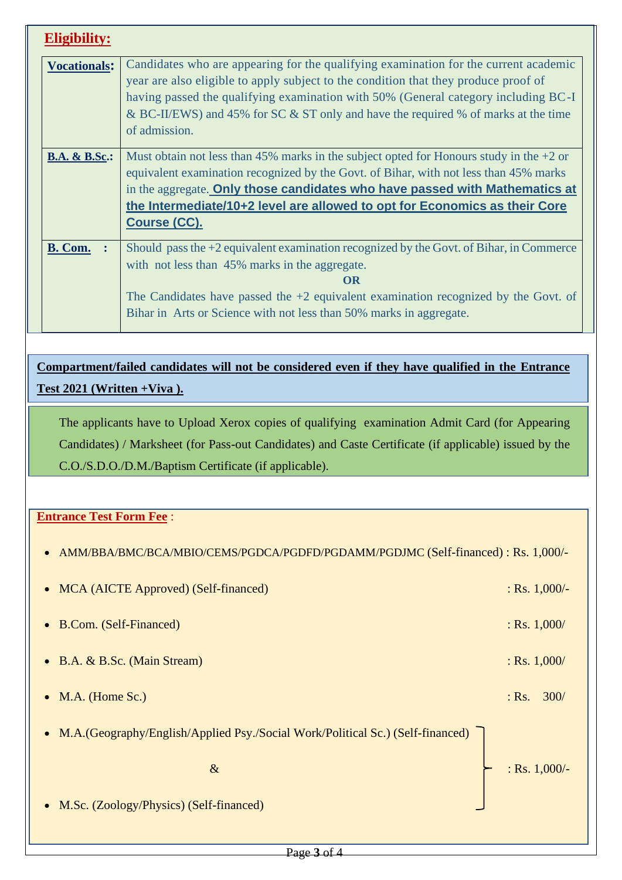| Eligibility:             |                                                                                                                                                                                                                                                                                                                                                                          |
|--------------------------|--------------------------------------------------------------------------------------------------------------------------------------------------------------------------------------------------------------------------------------------------------------------------------------------------------------------------------------------------------------------------|
| <b>Vocationals:</b>      | Candidates who are appearing for the qualifying examination for the current academic<br>year are also eligible to apply subject to the condition that they produce proof of<br>having passed the qualifying examination with 50% (General category including BC-I<br>& BC-II/EWS) and 45% for SC & ST only and have the required % of marks at the time<br>of admission. |
| <b>B.A. &amp; B.Sc.:</b> | Must obtain not less than 45% marks in the subject opted for Honours study in the $+2$ or<br>equivalent examination recognized by the Govt. of Bihar, with not less than 45% marks<br>in the aggregate. Only those candidates who have passed with Mathematics at<br>the Intermediate/10+2 level are allowed to opt for Economics as their Core<br><b>Course (CC).</b>   |
| <b>B. Com.</b>           | Should pass the $+2$ equivalent examination recognized by the Govt. of Bihar, in Commerce<br>with not less than 45% marks in the aggregate.<br>OR<br>The Candidates have passed the $+2$ equivalent examination recognized by the Govt. of<br>Bihar in Arts or Science with not less than 50% marks in aggregate.                                                        |

**Compartment/failed candidates will not be considered even if they have qualified in the Entrance Test 2021 (Written +Viva ).**

The applicants have to Upload Xerox copies of qualifying examination Admit Card (for Appearing Candidates) / Marksheet (for Pass-out Candidates) and Caste Certificate (if applicable) issued by the C.O./S.D.O./D.M./Baptism Certificate (if applicable).

## **Entrance Test Form Fee** :

| • AMM/BBA/BMC/BCA/MBIO/CEMS/PGDCA/PGDFD/PGDAMM/PGDJMC (Self-financed) : Rs. 1,000/-          |                                          |
|----------------------------------------------------------------------------------------------|------------------------------------------|
| • MCA (AICTE Approved) (Self-financed)                                                       | : Rs. $1,000/-$                          |
| • B.Com. (Self-Financed)                                                                     | : Rs. $1,000/$                           |
| • B.A. & B.Sc. (Main Stream)                                                                 | : Rs. $1,000/$                           |
| $\bullet$ M.A. (Home Sc.)                                                                    | $:$ Rs. $\overline{\phantom{a}}$<br>300/ |
| M.A. (Geography/English/Applied Psy./Social Work/Political Sc.) (Self-financed)<br>$\bullet$ |                                          |
| $\&$                                                                                         | : Rs. $1,000/-$                          |
| • M.Sc. (Zoology/Physics) (Self-financed)                                                    |                                          |